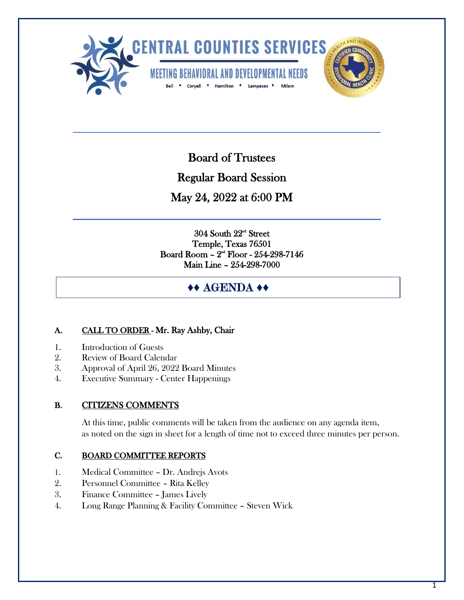

Board of Trustees

Ī

Regular Board Session

May 24, 2022 at 6:00 PM

304 South 22nd Street Temple, Texas 76501 Board Room –  $2<sup>nd</sup>$  Floor - 254-298-7146 Main Line – 254-298-7000

j

# **♦♦** AGENDA **♦♦**

# A. CALL TO ORDER - Mr. Ray Ashby, Chair

- 1. Introduction of Guests
- 2. Review of Board Calendar
- 3. Approval of April 26, 2022 Board Minutes
- 4. Executive Summary Center Happenings

## B. CITIZENS COMMENTS

 At this time, public comments will be taken from the audience on any agenda item, as noted on the sign in sheet for a length of time not to exceed three minutes per person.

## C. BOARD COMMITTEE REPORTS

- 1. Medical Committee Dr. Andrejs Avots
- 2. Personnel Committee Rita Kelley
- 3. Finance Committee James Lively
- 4. Long Range Planning & Facility Committee Steven Wick